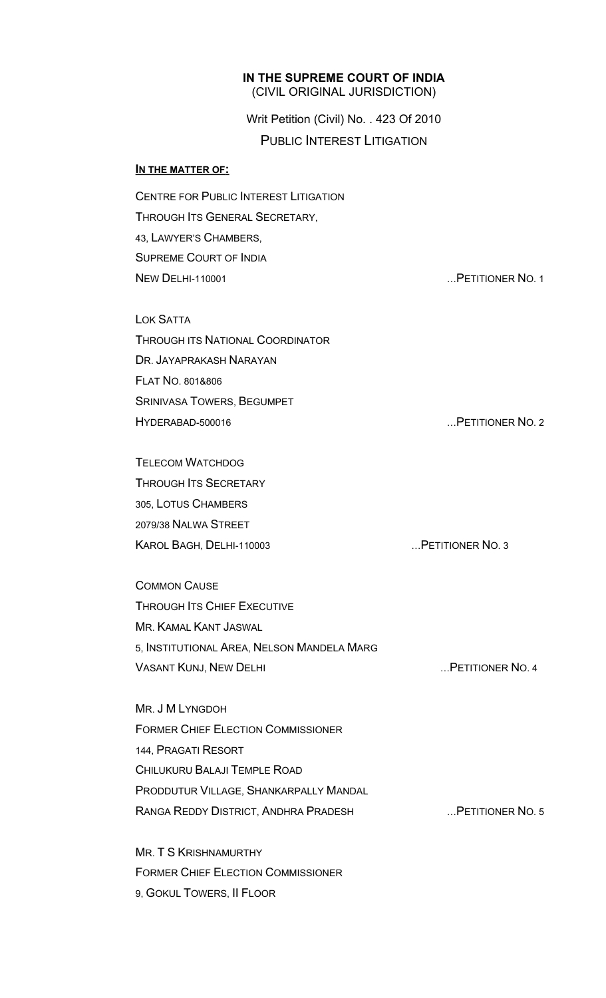### **IN THE SUPREME COURT OF INDIA** (CIVIL ORIGINAL JURISDICTION)

Writ Petition (Civil) No. . 423 Of 2010 PUBLIC INTEREST LITIGATION

#### **IN THE MATTER OF:**

CENTRE FOR PUBLIC INTEREST LITIGATION THROUGH ITS GENERAL SECRETARY, 43, LAWYER'S CHAMBERS, SUPREME COURT OF INDIA NEW DELHI-110001 **NEW DELHI-110001** 2 LOK SATTA THROUGH ITS NATIONAL COORDINATOR DR. JAYAPRAKASH NARAYAN FLAT NO. 801&806 SRINIVASA TOWERS, BEGUMPET HYDERABAD-500016 …PETITIONER NO. 2 TELECOM WATCHDOG THROUGH ITS SECRETARY 305, LOTUS CHAMBERS 2079/38 NALWA STREET KAROL BAGH, DELHI-110003 …PETITIONER NO. 3 COMMON CAUSE

THROUGH ITS CHIEF EXECUTIVE MR. KAMAL KANT JASWAL 5, INSTITUTIONAL AREA, NELSON MANDELA MARG VASANT KUNJ, NEW DELHI **WASANT KUNJ, NEW DELHI** MASANG METITIONER NO. 4

MR. J M LYNGDOH FORMER CHIEF ELECTION COMMISSIONER 144, PRAGATI RESORT CHILUKURU BALAJI TEMPLE ROAD PRODDUTUR VILLAGE, SHANKARPALLY MANDAL RANGA REDDY DISTRICT, ANDHRA PRADESH …PETITIONER NO. 5

MR. T S KRISHNAMURTHY FORMER CHIEF ELECTION COMMISSIONER 9, GOKUL TOWERS, II FLOOR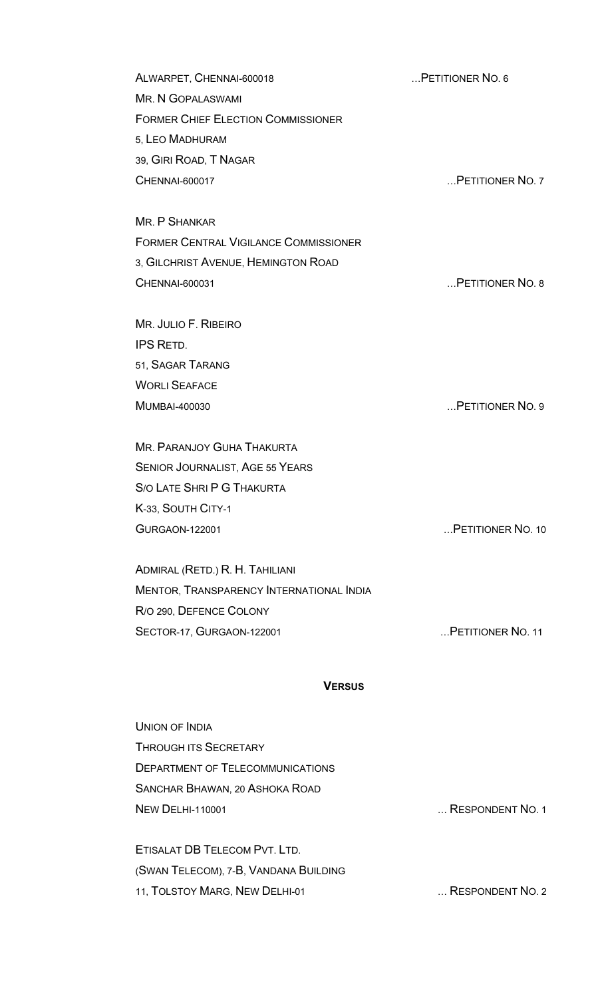ALWARPET, CHENNAI-600018 …PETITIONER NO. 6 MR. N GOPALASWAMI FORMER CHIEF ELECTION COMMISSIONER 5, LEO MADHURAM 39, GIRI ROAD, T NAGAR CHENNAI-600017 …PETITIONER NO. 7

MR. P SHANKAR FORMER CENTRAL VIGILANCE COMMISSIONER 3, GILCHRIST AVENUE, HEMINGTON ROAD CHENNAI-600031 …PETITIONER NO. 8

MR. JULIO F. RIBEIRO IPS RETD. 51, SAGAR TARANG WORLI SEAFACE MUMBAI-400030 …PETITIONER NO. 9

MR. PARANJOY GUHA THAKURTA SENIOR JOURNALIST, AGE 55 YEARS S/O LATE SHRI P G THAKURTA K-33, SOUTH CITY-1 GURGAON-122001 …PETITIONER NO. 10

ADMIRAL (RETD.) R. H. TAHILIANI MENTOR, TRANSPARENCY INTERNATIONAL INDIA R/O 290, DEFENCE COLONY SECTOR-17, GURGAON-122001 **EXECUTOR IN A SECTOR-17, GURGAON-122001 EXECUTOR 11** 

#### **VERSUS**

UNION OF INDIA THROUGH ITS SECRETARY DEPARTMENT OF TELECOMMUNICATIONS SANCHAR BHAWAN, 20 ASHOKA ROAD NEW DELHI-110001 **NEW DELHI-110001** 2 ETISALAT DB TELECOM PVT. LTD. (SWAN TELECOM), 7-B, VANDANA BUILDING

11, TOLSTOY MARG, NEW DELHI-01 … RESPONDENT NO. 2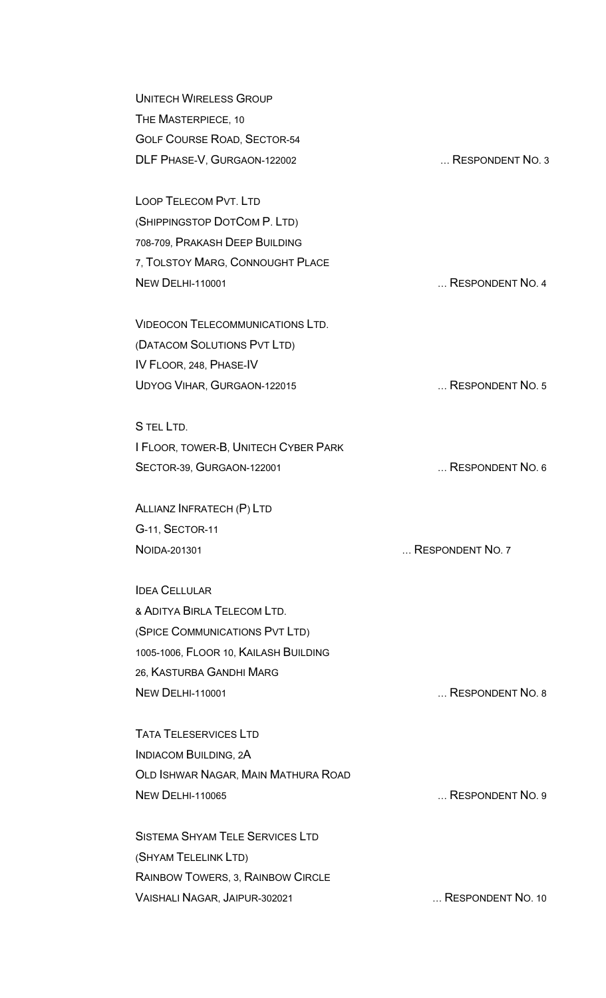| <b>UNITECH WIRELESS GROUP</b>                                      |                  |
|--------------------------------------------------------------------|------------------|
| THE MASTERPIECE, 10                                                |                  |
| <b>GOLF COURSE ROAD, SECTOR-54</b>                                 |                  |
| DLF PHASE-V, GURGAON-122002                                        | RESPONDENT NO. 3 |
| <b>LOOP TELECOM PVT. LTD</b>                                       |                  |
| (SHIPPINGSTOP DOTCOM P. LTD)                                       |                  |
| 708-709, PRAKASH DEEP BUILDING                                     |                  |
| 7, TOLSTOY MARG, CONNOUGHT PLACE                                   |                  |
| <b>NEW DELHI-110001</b><br><b>VIDEOCON TELECOMMUNICATIONS LTD.</b> | RESPONDENT NO. 4 |
|                                                                    |                  |
| (DATACOM SOLUTIONS PVT LTD)                                        |                  |
| IV FLOOR, 248, PHASE-IV                                            |                  |
| UDYOG VIHAR, GURGAON-122015                                        | RESPONDENT NO. 5 |
| S TEL LTD.                                                         |                  |
| I FLOOR, TOWER-B, UNITECH CYBER PARK                               |                  |
| SECTOR-39, GURGAON-122001                                          | RESPONDENT NO. 6 |
| ALLIANZ INFRATECH (P) LTD                                          |                  |
| G-11, SECTOR-11                                                    |                  |
| NOIDA-201301                                                       | RESPONDENT NO. 7 |
| <b>IDEA CELLULAR</b>                                               |                  |
| & ADITYA BIRI A TFI FCOM LTD.                                      |                  |
| (SPICE COMMUNICATIONS PVT LTD)                                     |                  |
| 1005-1006, FLOOR 10, KAILASH BUILDING                              |                  |
| 26. KASTURBA GANDHI MARG                                           |                  |
| <b>NEW DELHI-110001</b>                                            | RESPONDENT NO. 8 |
| <b>TATA TELESERVICES LTD</b>                                       |                  |
| <b>INDIACOM BUILDING, 2A</b>                                       |                  |
| OLD ISHWAR NAGAR, MAIN MATHURA ROAD                                |                  |
| <b>NEW DELHI-110065</b>                                            | RESPONDENT NO. 9 |
|                                                                    |                  |
| <b>SISTEMA SHYAM TELE SERVICES LTD</b>                             |                  |
| (SHYAM TELELINK LTD)                                               |                  |
| RAINBOW TOWERS, 3, RAINBOW CIRCLE                                  |                  |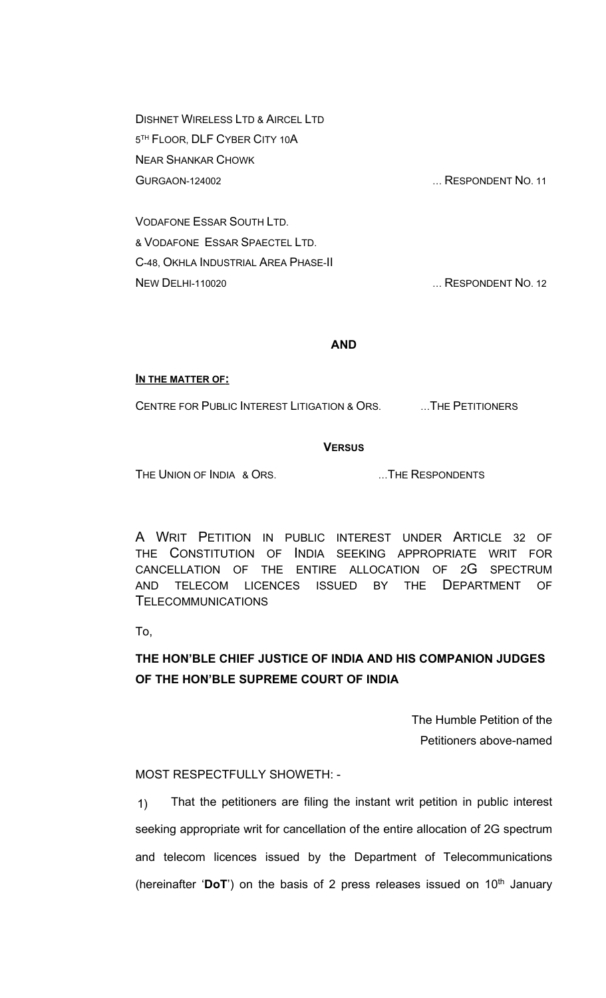DISHNET WIRELESS LTD & AIRCEL LTD 5 TH FLOOR, DLF CYBER CITY 10A NEAR SHANKAR CHOWK GURGAON-124002 … RESPONDENT NO. 11

VODAFONE ESSAR SOUTH LTD. & VODAFONE ESSAR SPAECTEL LTD. C-48, OKHLA INDUSTRIAL AREA PHASE-II NEW DELHI-110020 **NEW DELHI-110020 NEW DELHI-110020** 

# **AND**

#### **IN THE MATTER OF:**

CENTRE FOR PUBLIC INTEREST LITIGATION & ORS. …THE PETITIONERS

# **VERSUS**

THE UNION OF INDIA & ORS. THE RESPONDENTS

A WRIT PETITION IN PUBLIC INTEREST UNDER ARTICLE 32 OF THE CONSTITUTION OF INDIA SEEKING APPROPRIATE WRIT FOR CANCELLATION OF THE ENTIRE ALLOCATION OF 2G SPECTRUM AND TELECOM LICENCES ISSUED BY THE DEPARTMENT OF TELECOMMUNICATIONS

To,

# **THE HON'BLE CHIEF JUSTICE OF INDIA AND HIS COMPANION JUDGES OF THE HON'BLE SUPREME COURT OF INDIA**

The Humble Petition of the Petitioners above-named

# MOST RESPECTFULLY SHOWETH: -

1) That the petitioners are filing the instant writ petition in public interest seeking appropriate writ for cancellation of the entire allocation of 2G spectrum and telecom licences issued by the Department of Telecommunications (hereinafter 'DoT') on the basis of 2 press releases issued on 10<sup>th</sup> January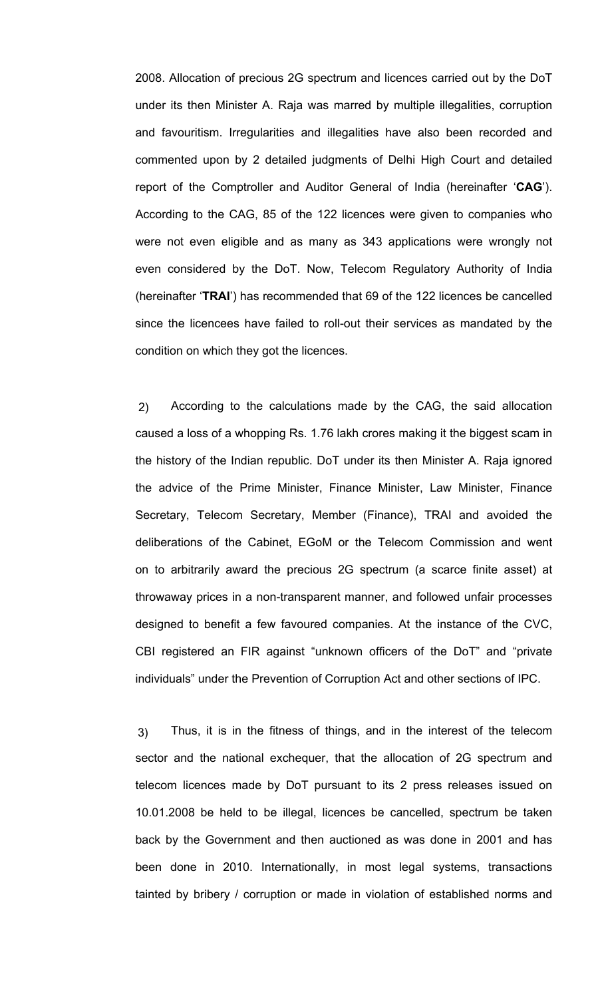2008. Allocation of precious 2G spectrum and licences carried out by the DoT under its then Minister A. Raja was marred by multiple illegalities, corruption and favouritism. Irregularities and illegalities have also been recorded and commented upon by 2 detailed judgments of Delhi High Court and detailed report of the Comptroller and Auditor General of India (hereinafter '**CAG**'). According to the CAG, 85 of the 122 licences were given to companies who were not even eligible and as many as 343 applications were wrongly not even considered by the DoT. Now, Telecom Regulatory Authority of India (hereinafter '**TRAI**') has recommended that 69 of the 122 licences be cancelled since the licencees have failed to roll-out their services as mandated by the condition on which they got the licences.

2) According to the calculations made by the CAG, the said allocation caused a loss of a whopping Rs. 1.76 lakh crores making it the biggest scam in the history of the Indian republic. DoT under its then Minister A. Raja ignored the advice of the Prime Minister, Finance Minister, Law Minister, Finance Secretary, Telecom Secretary, Member (Finance), TRAI and avoided the deliberations of the Cabinet, EGoM or the Telecom Commission and went on to arbitrarily award the precious 2G spectrum (a scarce finite asset) at throwaway prices in a non-transparent manner, and followed unfair processes designed to benefit a few favoured companies. At the instance of the CVC, CBI registered an FIR against "unknown officers of the DoT" and "private individuals" under the Prevention of Corruption Act and other sections of IPC.

3) Thus, it is in the fitness of things, and in the interest of the telecom sector and the national exchequer, that the allocation of 2G spectrum and telecom licences made by DoT pursuant to its 2 press releases issued on 10.01.2008 be held to be illegal, licences be cancelled, spectrum be taken back by the Government and then auctioned as was done in 2001 and has been done in 2010. Internationally, in most legal systems, transactions tainted by bribery / corruption or made in violation of established norms and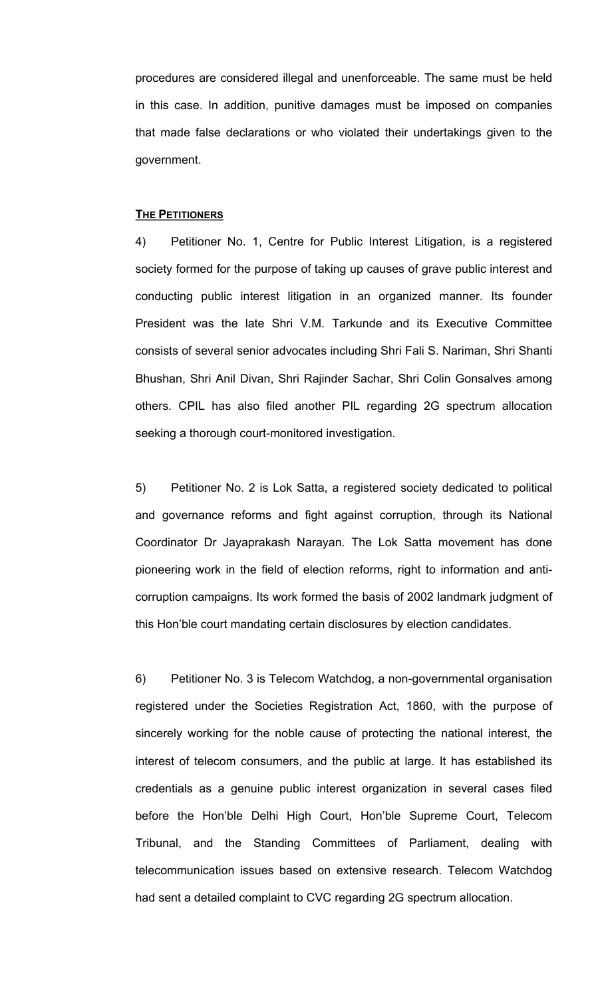procedures are considered illegal and unenforceable. The same must be held in this case. In addition, punitive damages must be imposed on companies that made false declarations or who violated their undertakings given to the government.

#### **THE PETITIONERS**

4) Petitioner No. 1, Centre for Public Interest Litigation, is a registered society formed for the purpose of taking up causes of grave public interest and conducting public interest litigation in an organized manner. Its founder President was the late Shri V.M. Tarkunde and its Executive Committee consists of several senior advocates including Shri Fali S. Nariman, Shri Shanti Bhushan, Shri Anil Divan, Shri Rajinder Sachar, Shri Colin Gonsalves among others. CPIL has also filed another PIL regarding 2G spectrum allocation seeking a thorough court-monitored investigation.

5) Petitioner No. 2 is Lok Satta, a registered society dedicated to political and governance reforms and fight against corruption, through its National Coordinator Dr Jayaprakash Narayan. The Lok Satta movement has done pioneering work in the field of election reforms, right to information and anticorruption campaigns. Its work formed the basis of 2002 landmark judgment of this Hon'ble court mandating certain disclosures by election candidates.

6) Petitioner No. 3 is Telecom Watchdog, a non-governmental organisation registered under the Societies Registration Act, 1860, with the purpose of sincerely working for the noble cause of protecting the national interest, the interest of telecom consumers, and the public at large. It has established its credentials as a genuine public interest organization in several cases filed before the Hon'ble Delhi High Court, Hon'ble Supreme Court, Telecom Tribunal, and the Standing Committees of Parliament, dealing with telecommunication issues based on extensive research. Telecom Watchdog had sent a detailed complaint to CVC regarding 2G spectrum allocation.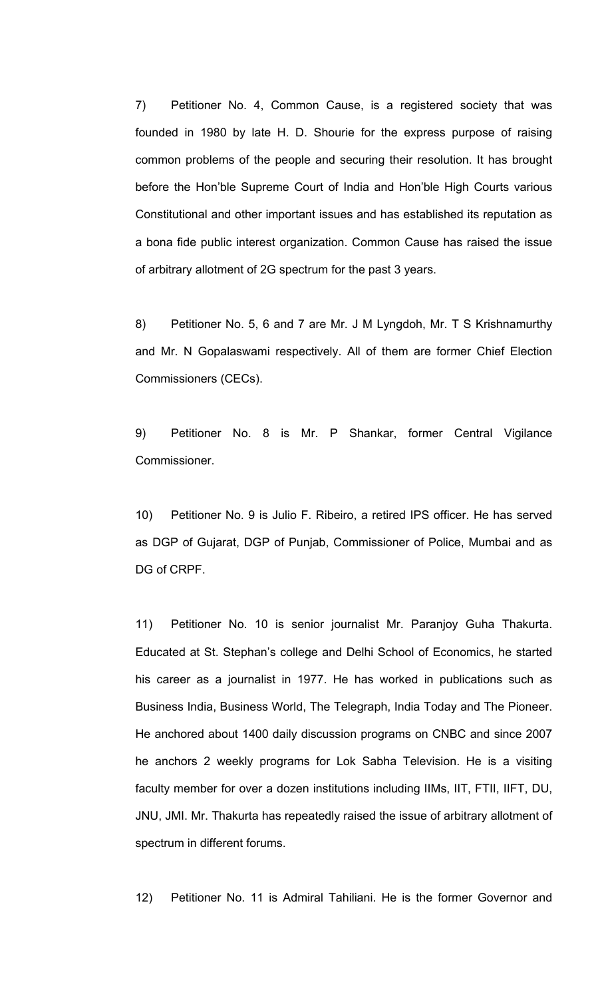7) Petitioner No. 4, Common Cause, is a registered society that was founded in 1980 by late H. D. Shourie for the express purpose of raising common problems of the people and securing their resolution. It has brought before the Hon'ble Supreme Court of India and Hon'ble High Courts various Constitutional and other important issues and has established its reputation as a bona fide public interest organization. Common Cause has raised the issue of arbitrary allotment of 2G spectrum for the past 3 years.

8) Petitioner No. 5, 6 and 7 are Mr. J M Lyngdoh, Mr. T S Krishnamurthy and Mr. N Gopalaswami respectively. All of them are former Chief Election Commissioners (CECs).

9) Petitioner No. 8 is Mr. P Shankar, former Central Vigilance Commissioner.

10) Petitioner No. 9 is Julio F. Ribeiro, a retired IPS officer. He has served as DGP of Gujarat, DGP of Punjab, Commissioner of Police, Mumbai and as DG of CRPF.

11) Petitioner No. 10 is senior journalist Mr. Paranjoy Guha Thakurta. Educated at St. Stephan's college and Delhi School of Economics, he started his career as a journalist in 1977. He has worked in publications such as Business India, Business World, The Telegraph, India Today and The Pioneer. He anchored about 1400 daily discussion programs on CNBC and since 2007 he anchors 2 weekly programs for Lok Sabha Television. He is a visiting faculty member for over a dozen institutions including IIMs, IIT, FTII, IIFT, DU, JNU, JMI. Mr. Thakurta has repeatedly raised the issue of arbitrary allotment of spectrum in different forums.

12) Petitioner No. 11 is Admiral Tahiliani. He is the former Governor and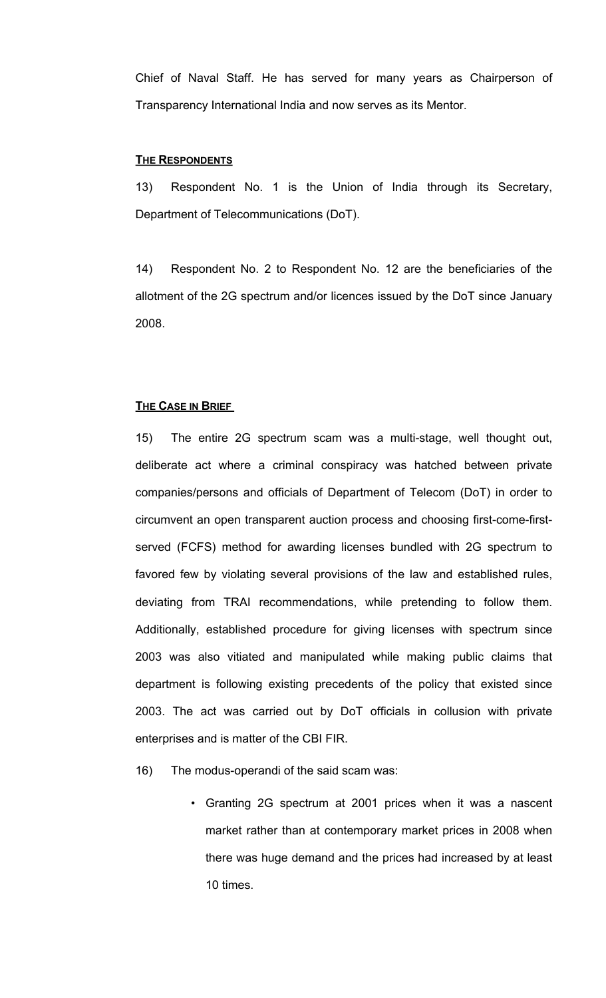Chief of Naval Staff. He has served for many years as Chairperson of Transparency International India and now serves as its Mentor.

#### **THE RESPONDENTS**

13) Respondent No. 1 is the Union of India through its Secretary, Department of Telecommunications (DoT).

14) Respondent No. 2 to Respondent No. 12 are the beneficiaries of the allotment of the 2G spectrum and/or licences issued by the DoT since January 2008.

## **THE CASE IN BRIEF**

15) The entire 2G spectrum scam was a multi-stage, well thought out, deliberate act where a criminal conspiracy was hatched between private companies/persons and officials of Department of Telecom (DoT) in order to circumvent an open transparent auction process and choosing first-come-firstserved (FCFS) method for awarding licenses bundled with 2G spectrum to favored few by violating several provisions of the law and established rules, deviating from TRAI recommendations, while pretending to follow them. Additionally, established procedure for giving licenses with spectrum since 2003 was also vitiated and manipulated while making public claims that department is following existing precedents of the policy that existed since 2003. The act was carried out by DoT officials in collusion with private enterprises and is matter of the CBI FIR.

- 16) The modus-operandi of the said scam was:
	- Granting 2G spectrum at 2001 prices when it was a nascent market rather than at contemporary market prices in 2008 when there was huge demand and the prices had increased by at least 10 times.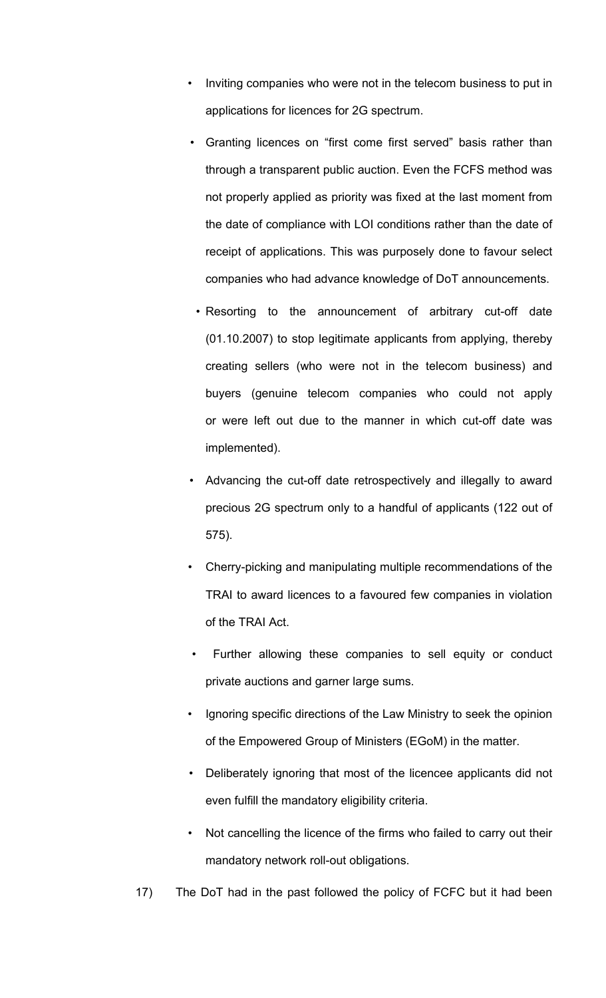- Inviting companies who were not in the telecom business to put in applications for licences for 2G spectrum.
- Granting licences on "first come first served" basis rather than through a transparent public auction. Even the FCFS method was not properly applied as priority was fixed at the last moment from the date of compliance with LOI conditions rather than the date of receipt of applications. This was purposely done to favour select companies who had advance knowledge of DoT announcements.
	- Resorting to the announcement of arbitrary cut-off date (01.10.2007) to stop legitimate applicants from applying, thereby creating sellers (who were not in the telecom business) and buyers (genuine telecom companies who could not apply or were left out due to the manner in which cut-off date was implemented).
- Advancing the cut-off date retrospectively and illegally to award precious 2G spectrum only to a handful of applicants (122 out of 575).
- Cherry-picking and manipulating multiple recommendations of the TRAI to award licences to a favoured few companies in violation of the TRAI Act.
- Further allowing these companies to sell equity or conduct private auctions and garner large sums.
- Ignoring specific directions of the Law Ministry to seek the opinion of the Empowered Group of Ministers (EGoM) in the matter.
- Deliberately ignoring that most of the licencee applicants did not even fulfill the mandatory eligibility criteria.
- Not cancelling the licence of the firms who failed to carry out their mandatory network roll-out obligations.
- 17) The DoT had in the past followed the policy of FCFC but it had been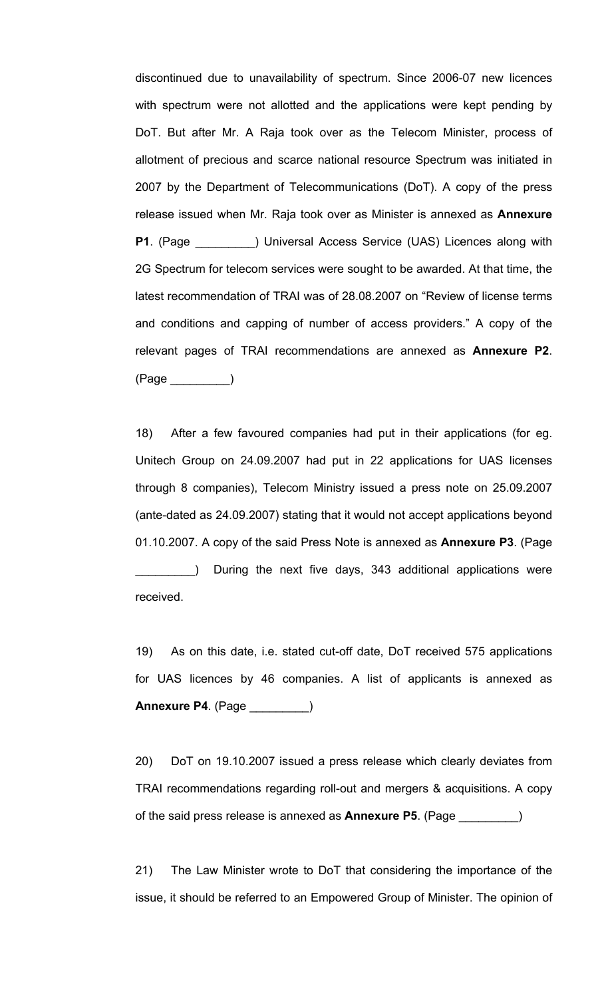discontinued due to unavailability of spectrum. Since 2006-07 new licences with spectrum were not allotted and the applications were kept pending by DoT. But after Mr. A Raja took over as the Telecom Minister, process of allotment of precious and scarce national resource Spectrum was initiated in 2007 by the Department of Telecommunications (DoT). A copy of the press release issued when Mr. Raja took over as Minister is annexed as **Annexure P1**. (Page ) Universal Access Service (UAS) Licences along with 2G Spectrum for telecom services were sought to be awarded. At that time, the latest recommendation of TRAI was of 28.08.2007 on "Review of license terms and conditions and capping of number of access providers." A copy of the relevant pages of TRAI recommendations are annexed as **Annexure P2**. (Page \_\_\_\_\_\_\_\_\_)

18) After a few favoured companies had put in their applications (for eg. Unitech Group on 24.09.2007 had put in 22 applications for UAS licenses through 8 companies), Telecom Ministry issued a press note on 25.09.2007 (ante-dated as 24.09.2007) stating that it would not accept applications beyond 01.10.2007. A copy of the said Press Note is annexed as **Annexure P3**. (Page During the next five days, 343 additional applications were received.

19) As on this date, i.e. stated cut-off date, DoT received 575 applications for UAS licences by 46 companies. A list of applicants is annexed as **Annexure P4**. (Page \_\_\_\_\_\_\_\_\_)

20) DoT on 19.10.2007 issued a press release which clearly deviates from TRAI recommendations regarding roll-out and mergers & acquisitions. A copy of the said press release is annexed as **Annexure P5**. (Page \_\_\_\_\_\_\_\_\_)

21) The Law Minister wrote to DoT that considering the importance of the issue, it should be referred to an Empowered Group of Minister. The opinion of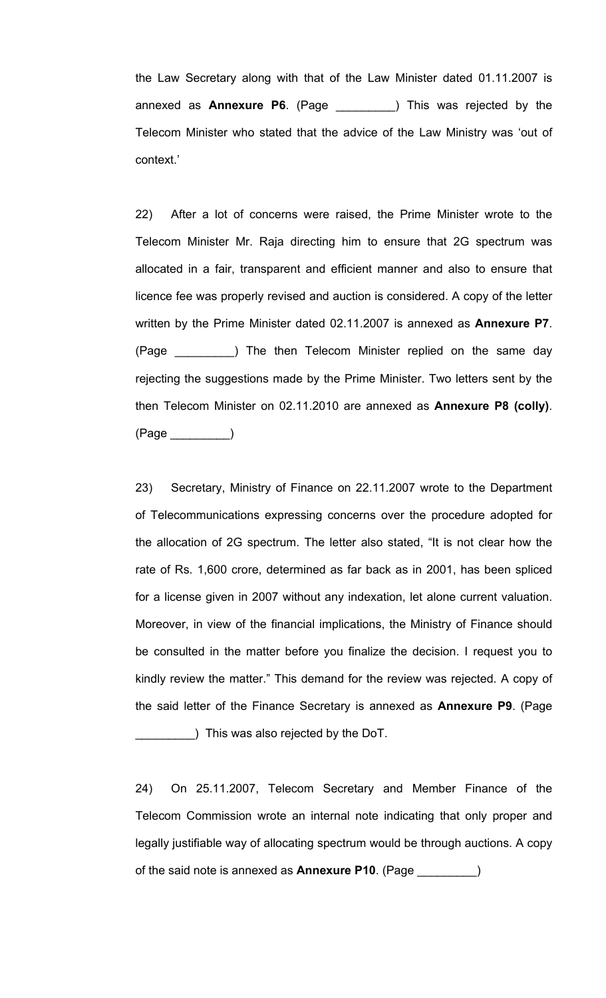the Law Secretary along with that of the Law Minister dated 01.11.2007 is annexed as **Annexure P6**. (Page \_\_\_\_\_\_\_\_\_) This was rejected by the Telecom Minister who stated that the advice of the Law Ministry was 'out of context.'

22) After a lot of concerns were raised, the Prime Minister wrote to the Telecom Minister Mr. Raja directing him to ensure that 2G spectrum was allocated in a fair, transparent and efficient manner and also to ensure that licence fee was properly revised and auction is considered. A copy of the letter written by the Prime Minister dated 02.11.2007 is annexed as **Annexure P7**. (Page 1992) The then Telecom Minister replied on the same day rejecting the suggestions made by the Prime Minister. Two letters sent by the then Telecom Minister on 02.11.2010 are annexed as **Annexure P8 (colly)**. (Page \_\_\_\_\_\_\_\_\_)

23) Secretary, Ministry of Finance on 22.11.2007 wrote to the Department of Telecommunications expressing concerns over the procedure adopted for the allocation of 2G spectrum. The letter also stated, "It is not clear how the rate of Rs. 1,600 crore, determined as far back as in 2001, has been spliced for a license given in 2007 without any indexation, let alone current valuation. Moreover, in view of the financial implications, the Ministry of Finance should be consulted in the matter before you finalize the decision. I request you to kindly review the matter." This demand for the review was rejected. A copy of the said letter of the Finance Secretary is annexed as **Annexure P9**. (Page \_\_\_\_\_\_\_\_\_) This was also rejected by the DoT.

24) On 25.11.2007, Telecom Secretary and Member Finance of the Telecom Commission wrote an internal note indicating that only proper and legally justifiable way of allocating spectrum would be through auctions. A copy of the said note is annexed as **Annexure P10**. (Page \_\_\_\_\_\_\_\_\_)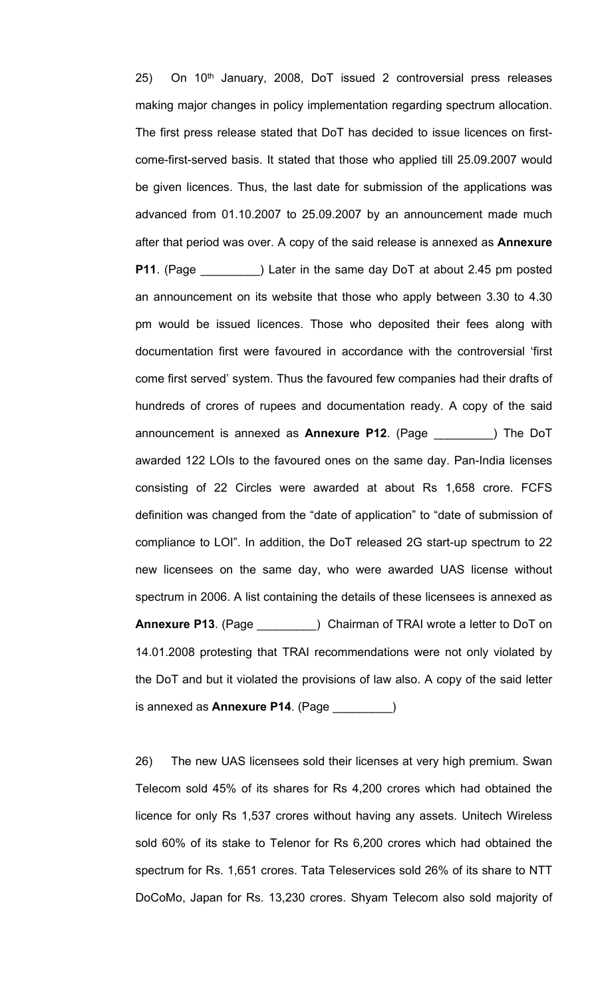25) On 10<sup>th</sup> January, 2008, DoT issued 2 controversial press releases making major changes in policy implementation regarding spectrum allocation. The first press release stated that DoT has decided to issue licences on firstcome-first-served basis. It stated that those who applied till 25.09.2007 would be given licences. Thus, the last date for submission of the applications was advanced from 01.10.2007 to 25.09.2007 by an announcement made much after that period was over. A copy of the said release is annexed as **Annexure P11**. (Page \_\_\_\_\_\_\_\_\_) Later in the same day DoT at about 2.45 pm posted an announcement on its website that those who apply between 3.30 to 4.30 pm would be issued licences. Those who deposited their fees along with documentation first were favoured in accordance with the controversial 'first come first served' system. Thus the favoured few companies had their drafts of hundreds of crores of rupees and documentation ready. A copy of the said announcement is annexed as **Annexure P12**. (Page \_\_\_\_\_\_\_\_\_) The DoT awarded 122 LOIs to the favoured ones on the same day. Pan-India licenses consisting of 22 Circles were awarded at about Rs 1,658 crore. FCFS definition was changed from the "date of application" to "date of submission of compliance to LOI". In addition, the DoT released 2G start-up spectrum to 22 new licensees on the same day, who were awarded UAS license without spectrum in 2006. A list containing the details of these licensees is annexed as **Annexure P13**. (Page \_\_\_\_\_\_\_\_\_) Chairman of TRAI wrote a letter to DoT on 14.01.2008 protesting that TRAI recommendations were not only violated by the DoT and but it violated the provisions of law also. A copy of the said letter is annexed as **Annexure P14**. (Page \_\_\_\_\_\_\_\_\_)

26) The new UAS licensees sold their licenses at very high premium. Swan Telecom sold 45% of its shares for Rs 4,200 crores which had obtained the licence for only Rs 1,537 crores without having any assets. Unitech Wireless sold 60% of its stake to Telenor for Rs 6,200 crores which had obtained the spectrum for Rs. 1,651 crores. Tata Teleservices sold 26% of its share to NTT DoCoMo, Japan for Rs. 13,230 crores. Shyam Telecom also sold majority of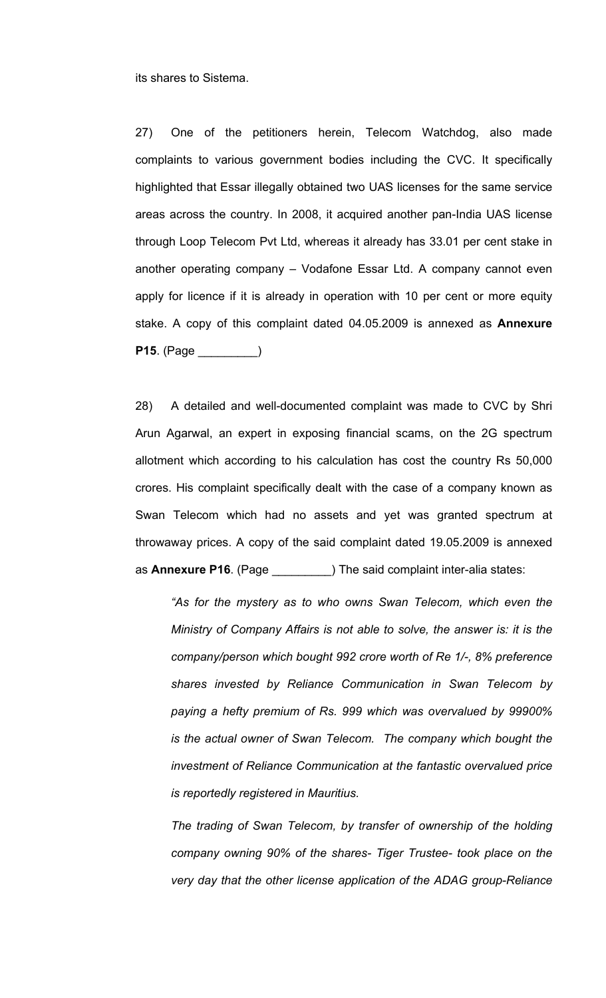its shares to Sistema.

27) One of the petitioners herein, Telecom Watchdog, also made complaints to various government bodies including the CVC. It specifically highlighted that Essar illegally obtained two UAS licenses for the same service areas across the country. In 2008, it acquired another pan-India UAS license through Loop Telecom Pvt Ltd, whereas it already has 33.01 per cent stake in another operating company – Vodafone Essar Ltd. A company cannot even apply for licence if it is already in operation with 10 per cent or more equity stake. A copy of this complaint dated 04.05.2009 is annexed as **Annexure P15**. (Page \_\_\_\_\_\_\_\_\_)

28) A detailed and well-documented complaint was made to CVC by Shri Arun Agarwal, an expert in exposing financial scams, on the 2G spectrum allotment which according to his calculation has cost the country Rs 50,000 crores. His complaint specifically dealt with the case of a company known as Swan Telecom which had no assets and yet was granted spectrum at throwaway prices. A copy of the said complaint dated 19.05.2009 is annexed as **Annexure P16**. (Page \_\_\_\_\_\_\_\_\_) The said complaint inter-alia states:

*"As for the mystery as to who owns Swan Telecom, which even the Ministry of Company Affairs is not able to solve, the answer is: it is the company/person which bought 992 crore worth of Re 1/-, 8% preference shares invested by Reliance Communication in Swan Telecom by paying a hefty premium of Rs. 999 which was overvalued by 99900% is the actual owner of Swan Telecom. The company which bought the investment of Reliance Communication at the fantastic overvalued price is reportedly registered in Mauritius.*

*The trading of Swan Telecom, by transfer of ownership of the holding company owning 90% of the shares- Tiger Trustee- took place on the very day that the other license application of the ADAG group-Reliance*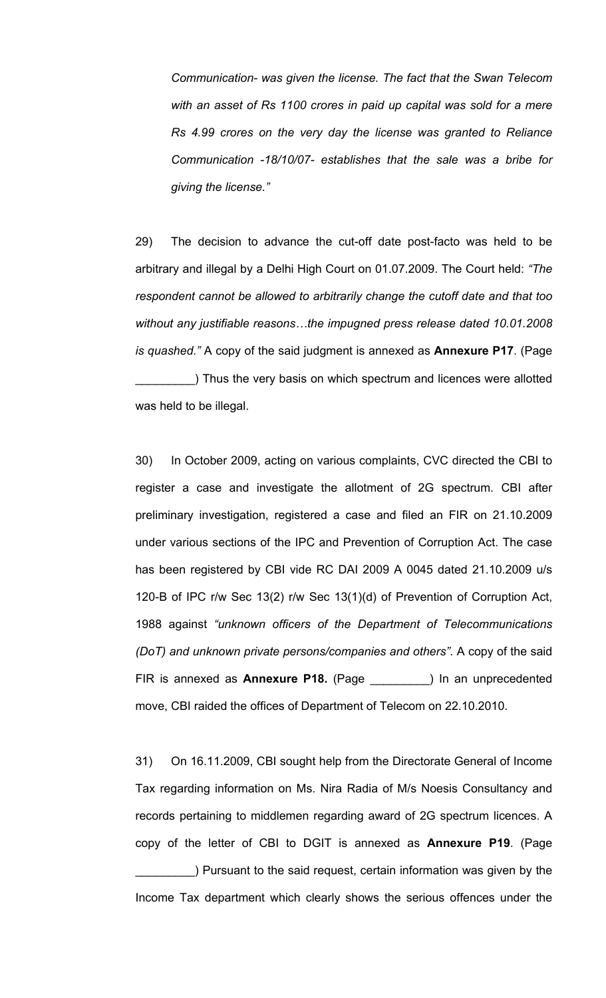*Communication- was given the license. The fact that the Swan Telecom with an asset of Rs 1100 crores in paid up capital was sold for a mere Rs 4.99 crores on the very day the license was granted to Reliance Communication -18/10/07- establishes that the sale was a bribe for giving the license."*

29) The decision to advance the cut-off date post-facto was held to be arbitrary and illegal by a Delhi High Court on 01.07.2009. The Court held: *"The respondent cannot be allowed to arbitrarily change the cutoff date and that too without any justifiable reasons…the impugned press release dated 10.01.2008 is quashed."* A copy of the said judgment is annexed as **Annexure P17**. (Page ) Thus the very basis on which spectrum and licences were allotted was held to be illegal.

30) In October 2009, acting on various complaints, CVC directed the CBI to register a case and investigate the allotment of 2G spectrum. CBI after preliminary investigation, registered a case and filed an FIR on 21.10.2009 under various sections of the IPC and Prevention of Corruption Act. The case has been registered by CBI vide RC DAI 2009 A 0045 dated 21.10.2009 u/s 120-B of IPC r/w Sec 13(2) r/w Sec 13(1)(d) of Prevention of Corruption Act, 1988 against *"unknown officers of the Department of Telecommunications (DoT) and unknown private persons/companies and others"*. A copy of the said FIR is annexed as **Annexure P18.** (Page \_\_\_\_\_\_\_\_\_) In an unprecedented move, CBI raided the offices of Department of Telecom on 22.10.2010.

31) On 16.11.2009, CBI sought help from the Directorate General of Income Tax regarding information on Ms. Nira Radia of M/s Noesis Consultancy and records pertaining to middlemen regarding award of 2G spectrum licences. A copy of the letter of CBI to DGIT is annexed as **Annexure P19**. (Page

\_\_\_\_\_\_\_\_\_) Pursuant to the said request, certain information was given by the Income Tax department which clearly shows the serious offences under the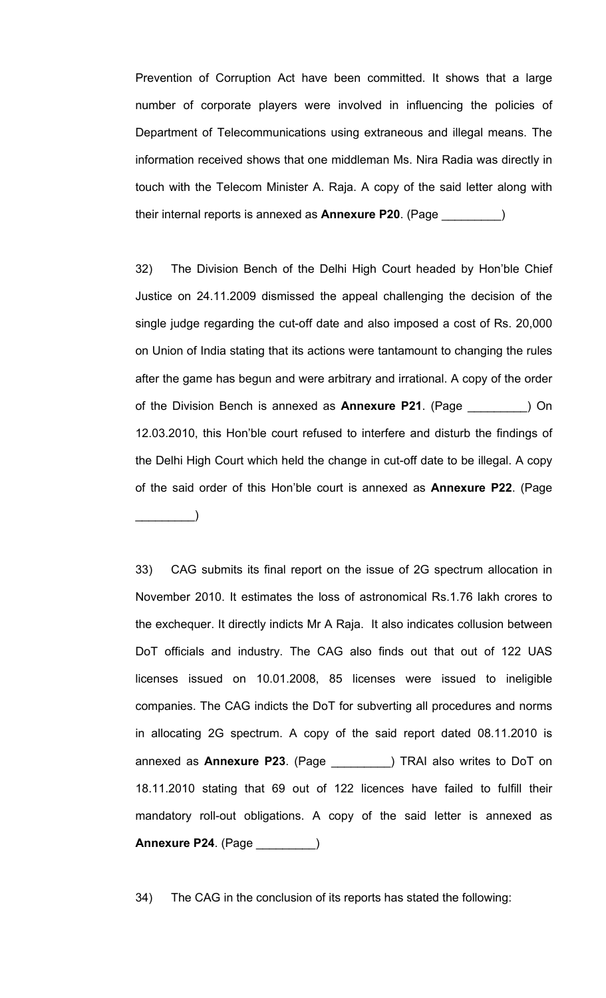Prevention of Corruption Act have been committed. It shows that a large number of corporate players were involved in influencing the policies of Department of Telecommunications using extraneous and illegal means. The information received shows that one middleman Ms. Nira Radia was directly in touch with the Telecom Minister A. Raja. A copy of the said letter along with their internal reports is annexed as **Annexure P20**. (Page \_\_\_\_\_\_\_\_\_)

32) The Division Bench of the Delhi High Court headed by Hon'ble Chief Justice on 24.11.2009 dismissed the appeal challenging the decision of the single judge regarding the cut-off date and also imposed a cost of Rs. 20,000 on Union of India stating that its actions were tantamount to changing the rules after the game has begun and were arbitrary and irrational. A copy of the order of the Division Bench is annexed as **Annexure P21**. (Page \_\_\_\_\_\_\_\_\_) On 12.03.2010, this Hon'ble court refused to interfere and disturb the findings of the Delhi High Court which held the change in cut-off date to be illegal. A copy of the said order of this Hon'ble court is annexed as **Annexure P22**. (Page \_\_\_\_\_\_\_\_\_)

33) CAG submits its final report on the issue of 2G spectrum allocation in November 2010. It estimates the loss of astronomical Rs.1.76 lakh crores to the exchequer. It directly indicts Mr A Raja. It also indicates collusion between DoT officials and industry. The CAG also finds out that out of 122 UAS licenses issued on 10.01.2008, 85 licenses were issued to ineligible companies. The CAG indicts the DoT for subverting all procedures and norms in allocating 2G spectrum. A copy of the said report dated 08.11.2010 is annexed as **Annexure P23**. (Page \_\_\_\_\_\_\_\_\_) TRAI also writes to DoT on 18.11.2010 stating that 69 out of 122 licences have failed to fulfill their mandatory roll-out obligations. A copy of the said letter is annexed as **Annexure P24**. (Page \_\_\_\_\_\_\_\_\_)

34) The CAG in the conclusion of its reports has stated the following: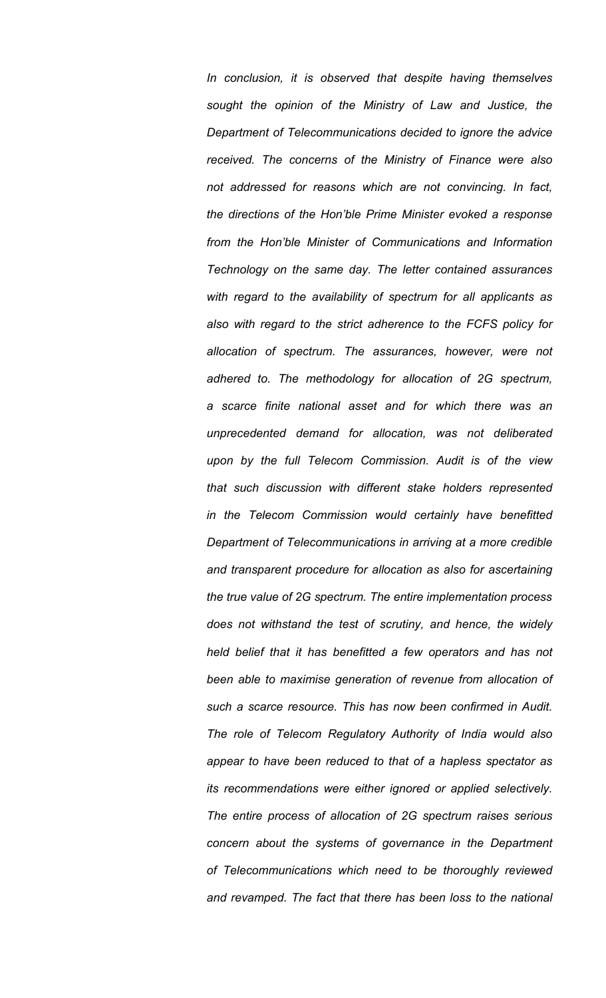*In conclusion, it is observed that despite having themselves sought the opinion of the Ministry of Law and Justice, the Department of Telecommunications decided to ignore the advice received. The concerns of the Ministry of Finance were also not addressed for reasons which are not convincing. In fact, the directions of the Hon'ble Prime Minister evoked a response from the Hon'ble Minister of Communications and Information Technology on the same day. The letter contained assurances with regard to the availability of spectrum for all applicants as also with regard to the strict adherence to the FCFS policy for allocation of spectrum. The assurances, however, were not adhered to. The methodology for allocation of 2G spectrum, a scarce finite national asset and for which there was an unprecedented demand for allocation, was not deliberated upon by the full Telecom Commission. Audit is of the view that such discussion with different stake holders represented in the Telecom Commission would certainly have benefitted Department of Telecommunications in arriving at a more credible and transparent procedure for allocation as also for ascertaining the true value of 2G spectrum. The entire implementation process does not withstand the test of scrutiny, and hence, the widely held belief that it has benefitted a few operators and has not been able to maximise generation of revenue from allocation of such a scarce resource. This has now been confirmed in Audit. The role of Telecom Regulatory Authority of India would also appear to have been reduced to that of a hapless spectator as its recommendations were either ignored or applied selectively. The entire process of allocation of 2G spectrum raises serious concern about the systems of governance in the Department of Telecommunications which need to be thoroughly reviewed and revamped. The fact that there has been loss to the national*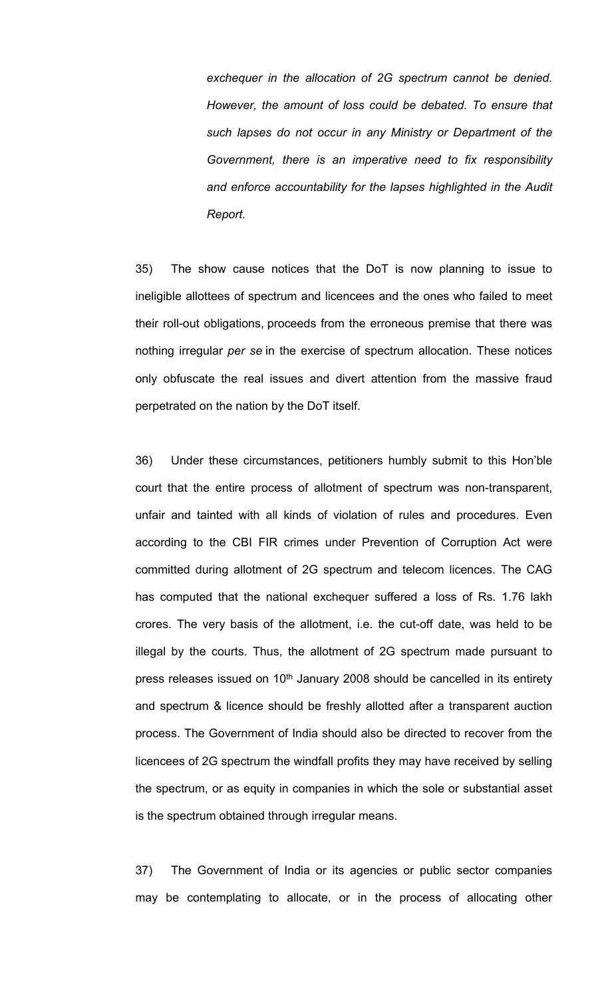*exchequer in the allocation of 2G spectrum cannot be denied. However, the amount of loss could be debated. To ensure that such lapses do not occur in any Ministry or Department of the Government, there is an imperative need to fix responsibility and enforce accountability for the lapses highlighted in the Audit Report.*

35) The show cause notices that the DoT is now planning to issue to ineligible allottees of spectrum and licencees and the ones who failed to meet their roll-out obligations, proceeds from the erroneous premise that there was nothing irregular *per se* in the exercise of spectrum allocation. These notices only obfuscate the real issues and divert attention from the massive fraud perpetrated on the nation by the DoT itself.

36) Under these circumstances, petitioners humbly submit to this Hon'ble court that the entire process of allotment of spectrum was non-transparent, unfair and tainted with all kinds of violation of rules and procedures. Even according to the CBI FIR crimes under Prevention of Corruption Act were committed during allotment of 2G spectrum and telecom licences. The CAG has computed that the national exchequer suffered a loss of Rs. 1.76 lakh crores. The very basis of the allotment, i.e. the cut-off date, was held to be illegal by the courts. Thus, the allotment of 2G spectrum made pursuant to press releases issued on 10<sup>th</sup> January 2008 should be cancelled in its entirety and spectrum & licence should be freshly allotted after a transparent auction process. The Government of India should also be directed to recover from the licencees of 2G spectrum the windfall profits they may have received by selling the spectrum, or as equity in companies in which the sole or substantial asset is the spectrum obtained through irregular means.

37) The Government of India or its agencies or public sector companies may be contemplating to allocate, or in the process of allocating other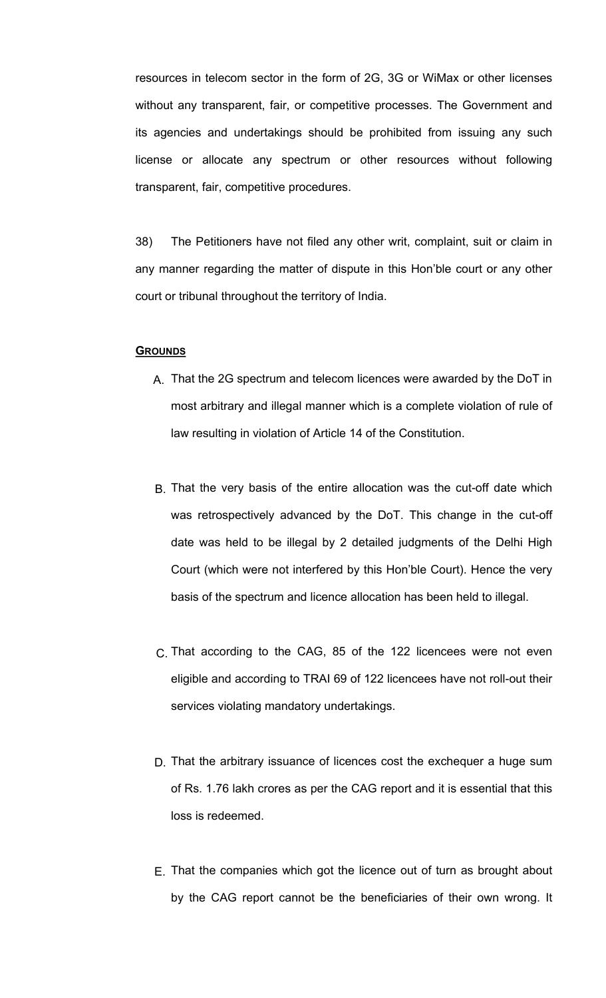resources in telecom sector in the form of 2G, 3G or WiMax or other licenses without any transparent, fair, or competitive processes. The Government and its agencies and undertakings should be prohibited from issuing any such license or allocate any spectrum or other resources without following transparent, fair, competitive procedures.

38) The Petitioners have not filed any other writ, complaint, suit or claim in any manner regarding the matter of dispute in this Hon'ble court or any other court or tribunal throughout the territory of India.

# **GROUNDS**

- A. That the 2G spectrum and telecom licences were awarded by the DoT in most arbitrary and illegal manner which is a complete violation of rule of law resulting in violation of Article 14 of the Constitution.
- B. That the very basis of the entire allocation was the cut-off date which was retrospectively advanced by the DoT. This change in the cut-off date was held to be illegal by 2 detailed judgments of the Delhi High Court (which were not interfered by this Hon'ble Court). Hence the very basis of the spectrum and licence allocation has been held to illegal.
- C. That according to the CAG, 85 of the 122 licencees were not even eligible and according to TRAI 69 of 122 licencees have not roll-out their services violating mandatory undertakings.
- D. That the arbitrary issuance of licences cost the exchequer a huge sum of Rs. 1.76 lakh crores as per the CAG report and it is essential that this loss is redeemed.
- E. That the companies which got the licence out of turn as brought about by the CAG report cannot be the beneficiaries of their own wrong. It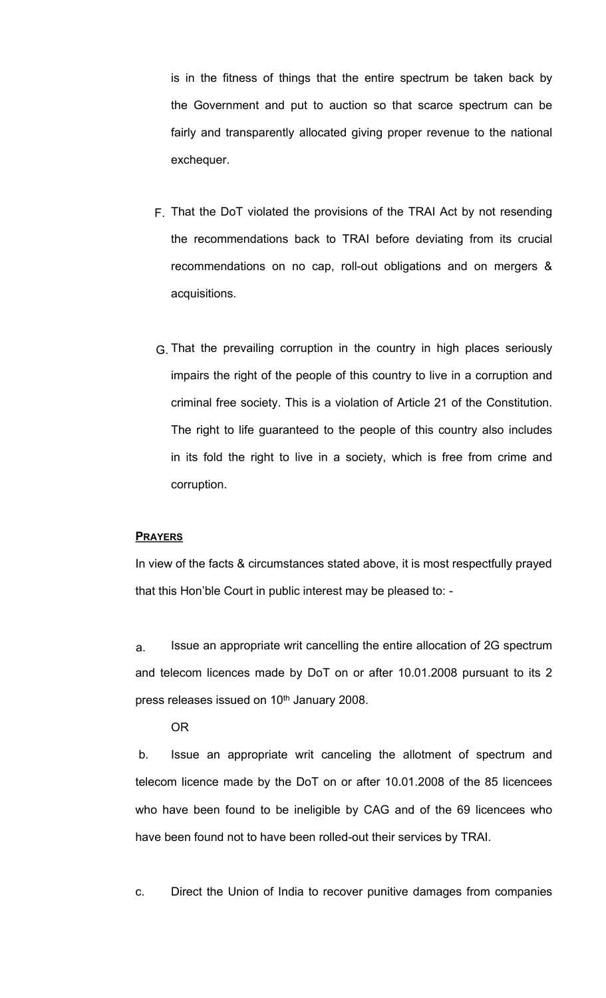is in the fitness of things that the entire spectrum be taken back by the Government and put to auction so that scarce spectrum can be fairly and transparently allocated giving proper revenue to the national exchequer.

- F. That the DoT violated the provisions of the TRAI Act by not resending the recommendations back to TRAI before deviating from its crucial recommendations on no cap, roll-out obligations and on mergers & acquisitions.
- G. That the prevailing corruption in the country in high places seriously impairs the right of the people of this country to live in a corruption and criminal free society. This is a violation of Article 21 of the Constitution. The right to life guaranteed to the people of this country also includes in its fold the right to live in a society, which is free from crime and corruption.

# **PRAYERS**

In view of the facts & circumstances stated above, it is most respectfully prayed that this Hon'ble Court in public interest may be pleased to: -

a. Issue an appropriate writ cancelling the entire allocation of 2G spectrum and telecom licences made by DoT on or after 10.01.2008 pursuant to its 2 press releases issued on 10<sup>th</sup> January 2008.

OR

b. Issue an appropriate writ canceling the allotment of spectrum and telecom licence made by the DoT on or after 10.01.2008 of the 85 licencees who have been found to be ineligible by CAG and of the 69 licencees who have been found not to have been rolled-out their services by TRAI.

c. Direct the Union of India to recover punitive damages from companies